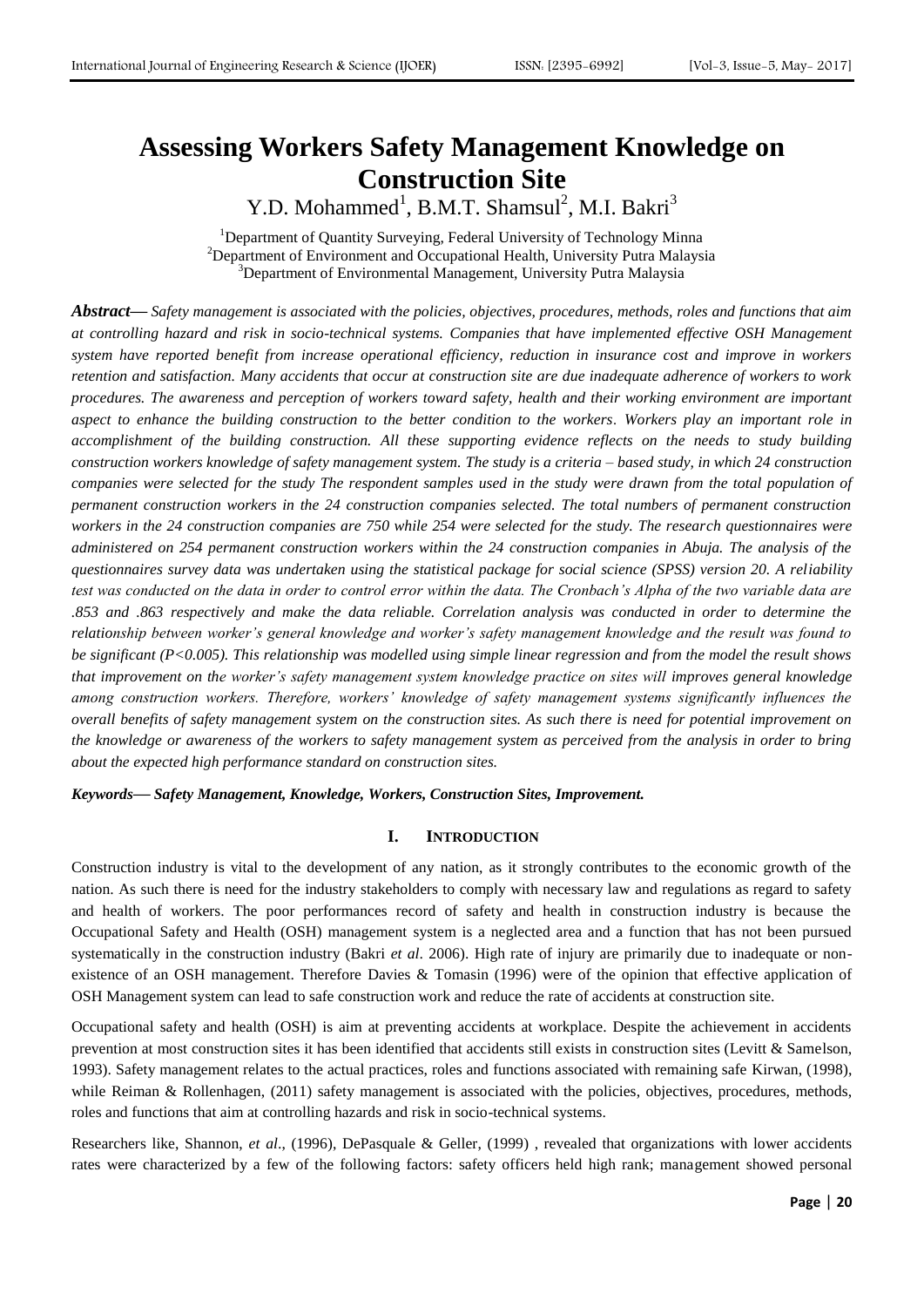# **Assessing Workers Safety Management Knowledge on Construction Site**

Y.D. Mohammed<sup>1</sup>, B.M.T. Shamsul<sup>2</sup>, M.I. Bakri<sup>3</sup>

<sup>1</sup>Department of Quantity Surveying, Federal University of Technology Minna <sup>2</sup>Department of Environment and Occupational Health, University Putra Malaysia <sup>3</sup>Department of Environmental Management, University Putra Malaysia

*Abstract***—** *Safety management is associated with the policies, objectives, procedures, methods, roles and functions that aim at controlling hazard and risk in socio-technical systems. Companies that have implemented effective OSH Management system have reported benefit from increase operational efficiency, reduction in insurance cost and improve in workers retention and satisfaction. Many accidents that occur at construction site are due inadequate adherence of workers to work procedures. The awareness and perception of workers toward safety, health and their working environment are important aspect to enhance the building construction to the better condition to the workers. Workers play an important role in accomplishment of the building construction. All these supporting evidence reflects on the needs to study building construction workers knowledge of safety management system. The study is a criteria – based study, in which 24 construction companies were selected for the study The respondent samples used in the study were drawn from the total population of permanent construction workers in the 24 construction companies selected. The total numbers of permanent construction workers in the 24 construction companies are 750 while 254 were selected for the study. The research questionnaires were administered on 254 permanent construction workers within the 24 construction companies in Abuja. The analysis of the questionnaires survey data was undertaken using the statistical package for social science (SPSS) version 20. A reliability test was conducted on the data in order to control error within the data. The Cronbach's Alpha of the two variable data are .853 and .863 respectively and make the data reliable. Correlation analysis was conducted in order to determine the relationship between worker's general knowledge and worker's safety management knowledge and the result was found to be significant (P<0.005). This relationship was modelled using simple linear regression and from the model the result shows that improvement on the worker's safety management system knowledge practice on sites will improves general knowledge among construction workers. Therefore, workers' knowledge of safety management systems significantly influences the overall benefits of safety management system on the construction sites. As such there is need for potential improvement on the knowledge or awareness of the workers to safety management system as perceived from the analysis in order to bring about the expected high performance standard on construction sites.*

*Keywords***—** *Safety Management, Knowledge, Workers, Construction Sites, Improvement.*

# **I. INTRODUCTION**

Construction industry is vital to the development of any nation, as it strongly contributes to the economic growth of the nation. As such there is need for the industry stakeholders to comply with necessary law and regulations as regard to safety and health of workers. The poor performances record of safety and health in construction industry is because the Occupational Safety and Health (OSH) management system is a neglected area and a function that has not been pursued systematically in the construction industry (Bakri *et al*. 2006). High rate of injury are primarily due to inadequate or nonexistence of an OSH management. Therefore Davies & Tomasin (1996) were of the opinion that effective application of OSH Management system can lead to safe construction work and reduce the rate of accidents at construction site.

Occupational safety and health (OSH) is aim at preventing accidents at workplace. Despite the achievement in accidents prevention at most construction sites it has been identified that accidents still exists in construction sites (Levitt & Samelson, 1993). Safety management relates to the actual practices, roles and functions associated with remaining safe [Kirwan, \(1998\)](#page-5-0), while Reiman & Rollenhagen, (2011) safety management is associated with the policies, objectives, procedures, methods, roles and functions that aim at controlling hazards and risk in socio-technical systems.

Researchers like, Shannon, *et al*., (1996), [DePasquale & Geller, \(1999\)](#page-5-1) , revealed that organizations with lower accidents rates were characterized by a few of the following factors: safety officers held high rank; management showed personal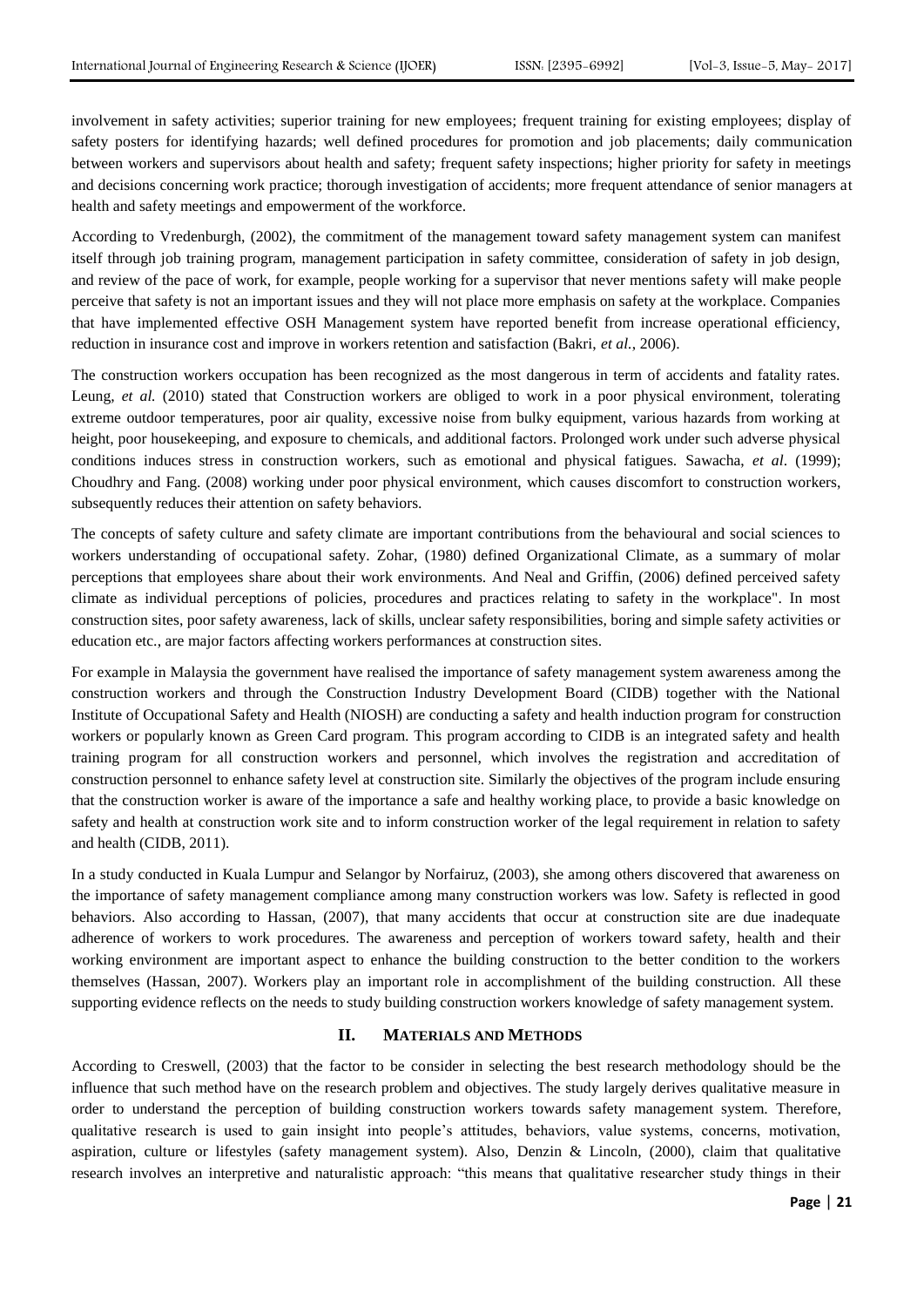involvement in safety activities; superior training for new employees; frequent training for existing employees; display of safety posters for identifying hazards; well defined procedures for promotion and job placements; daily communication between workers and supervisors about health and safety; frequent safety inspections; higher priority for safety in meetings and decisions concerning work practice; thorough investigation of accidents; more frequent attendance of senior managers at health and safety meetings and empowerment of the workforce.

According to [Vredenburgh, \(2002\)](#page-6-0), the commitment of the management toward safety management system can manifest itself through job training program, management participation in safety committee, consideration of safety in job design, and review of the pace of work, for example, people working for a supervisor that never mentions safety will make people perceive that safety is not an important issues and they will not place more emphasis on safety at the workplace. Companies that have implemented effective OSH Management system have reported benefit from increase operational efficiency, reduction in insurance cost and improve in workers retention and satisfaction (Bakri, *et al.*, 2006).

The construction workers occupation has been recognized as the most dangerous in term of accidents and fatality rates. Leung, *et al.* (2010) stated that Construction workers are obliged to work in a poor physical environment, tolerating extreme outdoor temperatures, poor air quality, excessive noise from bulky equipment, various hazards from working at height, poor housekeeping, and exposure to chemicals, and additional factors. Prolonged work under such adverse physical conditions induces stress in construction workers, such as emotional and physical fatigues. Sawacha, *et al*. (1999); Choudhry and Fang. (2008) working under poor physical environment, which causes discomfort to construction workers, subsequently reduces their attention on safety behaviors.

The concepts of safety culture and safety climate are important contributions from the behavioural and social sciences to workers understanding of occupational safety. Zohar, (1980) defined Organizational Climate, as a summary of molar perceptions that employees share about their work environments. And Neal and Griffin, (2006) defined perceived safety climate as individual perceptions of policies, procedures and practices relating to safety in the workplace". In most construction sites, poor safety awareness, lack of skills, unclear safety responsibilities, boring and simple safety activities or education etc., are major factors affecting workers performances at construction sites.

For example in Malaysia the government have realised the importance of safety management system awareness among the construction workers and through the Construction Industry Development Board (CIDB) together with the National Institute of Occupational Safety and Health (NIOSH) are conducting a safety and health induction program for construction workers or popularly known as Green Card program. This program according to CIDB is an integrated safety and health training program for all construction workers and personnel, which involves the registration and accreditation of construction personnel to enhance safety level at construction site. Similarly the objectives of the program include ensuring that the construction worker is aware of the importance a safe and healthy working place, to provide a basic knowledge on safety and health at construction work site and to inform construction worker of the legal requirement in relation to safety and health (CIDB, 2011).

In a study conducted in Kuala Lumpur and Selangor by Norfairuz, (2003), she among others discovered that awareness on the importance of safety management compliance among many construction workers was low. Safety is reflected in good behaviors. Also according to Hassan, (2007), that many accidents that occur at construction site are due inadequate adherence of workers to work procedures. The awareness and perception of workers toward safety, health and their working environment are important aspect to enhance the building construction to the better condition to the workers themselves (Hassan, 2007). Workers play an important role in accomplishment of the building construction. All these supporting evidence reflects on the needs to study building construction workers knowledge of safety management system.

# **II. MATERIALS AND METHODS**

According to Creswell, (2003) that the factor to be consider in selecting the best research methodology should be the influence that such method have on the research problem and objectives. The study largely derives qualitative measure in order to understand the perception of building construction workers towards safety management system. Therefore, qualitative research is used to gain insight into people's attitudes, behaviors, value systems, concerns, motivation, aspiration, culture or lifestyles (safety management system). Also, Denzin & Lincoln, (2000), claim that qualitative research involves an interpretive and naturalistic approach: "this means that qualitative researcher study things in their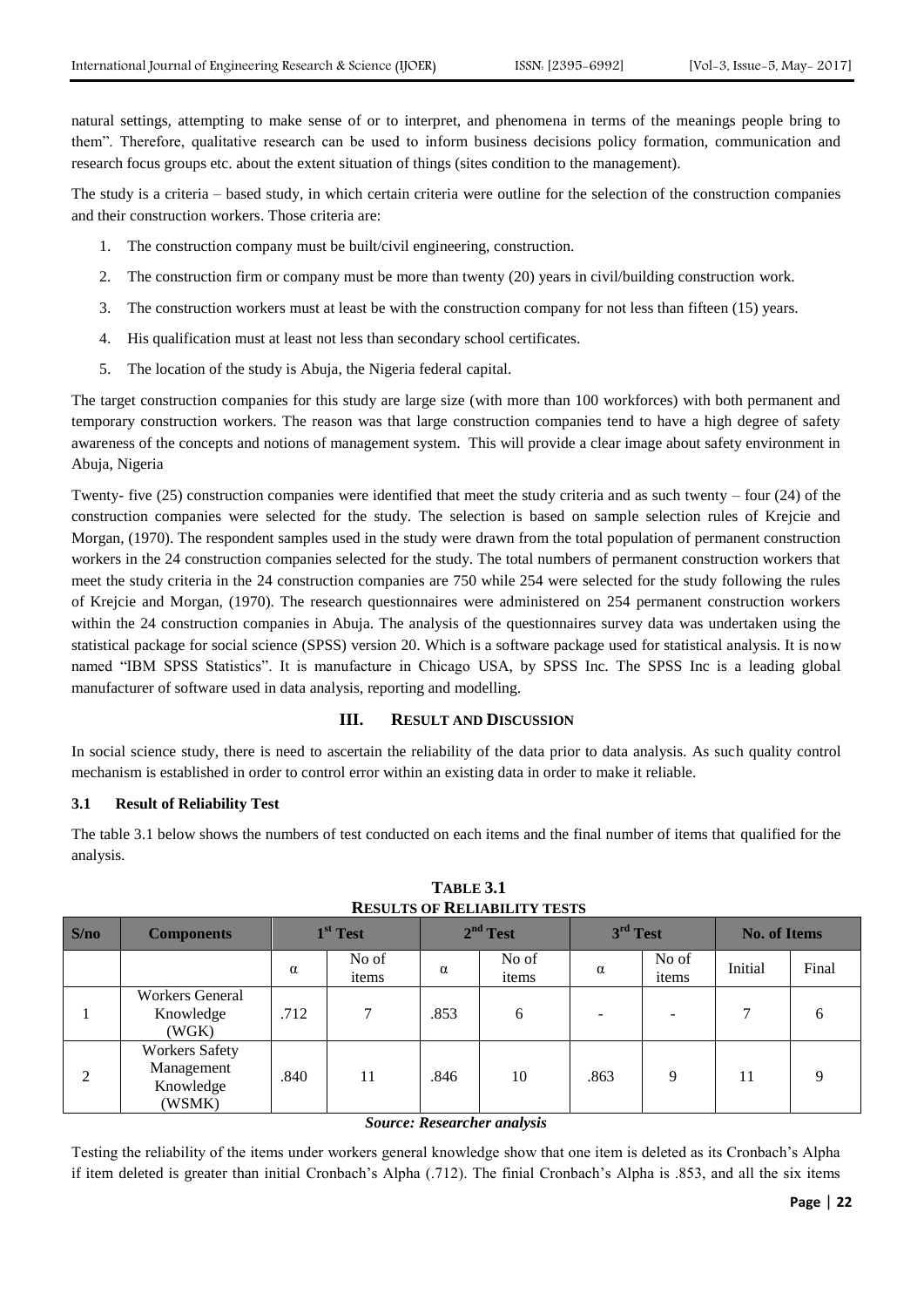natural settings, attempting to make sense of or to interpret, and phenomena in terms of the meanings people bring to them". Therefore, qualitative research can be used to inform business decisions policy formation, communication and research focus groups etc. about the extent situation of things (sites condition to the management).

The study is a criteria – based study, in which certain criteria were outline for the selection of the construction companies and their construction workers. Those criteria are:

- 1. The construction company must be built/civil engineering, construction.
- 2. The construction firm or company must be more than twenty (20) years in civil/building construction work.
- 3. The construction workers must at least be with the construction company for not less than fifteen (15) years.
- 4. His qualification must at least not less than secondary school certificates.
- 5. The location of the study is Abuja, the Nigeria federal capital.

The target construction companies for this study are large size (with more than 100 workforces) with both permanent and temporary construction workers. The reason was that large construction companies tend to have a high degree of safety awareness of the concepts and notions of management system. This will provide a clear image about safety environment in Abuja, Nigeria

Twenty- five (25) construction companies were identified that meet the study criteria and as such twenty – four (24) of the construction companies were selected for the study. The selection is based on sample selection rules of Krejcie and Morgan, (1970). The respondent samples used in the study were drawn from the total population of permanent construction workers in the 24 construction companies selected for the study. The total numbers of permanent construction workers that meet the study criteria in the 24 construction companies are 750 while 254 were selected for the study following the rules of Krejcie and Morgan, (1970). The research questionnaires were administered on 254 permanent construction workers within the 24 construction companies in Abuja. The analysis of the questionnaires survey data was undertaken using the statistical package for social science (SPSS) version 20. Which is a software package used for statistical analysis. It is now named "IBM SPSS Statistics". It is manufacture in Chicago USA, by SPSS Inc. The SPSS Inc is a leading global manufacturer of software used in data analysis, reporting and modelling.

# **III. RESULT AND DISCUSSION**

In social science study, there is need to ascertain the reliability of the data prior to data analysis. As such quality control mechanism is established in order to control error within an existing data in order to make it reliable.

#### **3.1 Result of Reliability Test**

The table 3.1 below shows the numbers of test conducted on each items and the final number of items that qualified for the analysis.

| <b>RESULTS OF RELIABILITY TESTS</b> |                                                            |                      |                |                      |                |                      |                |                     |       |
|-------------------------------------|------------------------------------------------------------|----------------------|----------------|----------------------|----------------|----------------------|----------------|---------------------|-------|
| S/no                                | <b>Components</b>                                          | 1 <sup>st</sup> Test |                | 2 <sup>nd</sup> Test |                | 3 <sup>rd</sup> Test |                | <b>No. of Items</b> |       |
|                                     |                                                            | $\alpha$             | No of<br>items | $\alpha$             | No of<br>items | $\alpha$             | No of<br>items | Initial             | Final |
|                                     | Workers General<br>Knowledge<br>(WGK)                      | .712                 | 7              | .853                 | 6              |                      |                |                     | 6     |
| 2                                   | <b>Workers Safety</b><br>Management<br>Knowledge<br>(WSMK) | .840                 | 11             | .846                 | 10             | .863                 | 9              | 11                  | Q     |

**TABLE 3.1 RESULTS OF RELIABILITY TESTS**

#### *Source: Researcher analysis*

Testing the reliability of the items under workers general knowledge show that one item is deleted as its Cronbach's Alpha if item deleted is greater than initial Cronbach's Alpha (.712). The finial Cronbach's Alpha is .853, and all the six items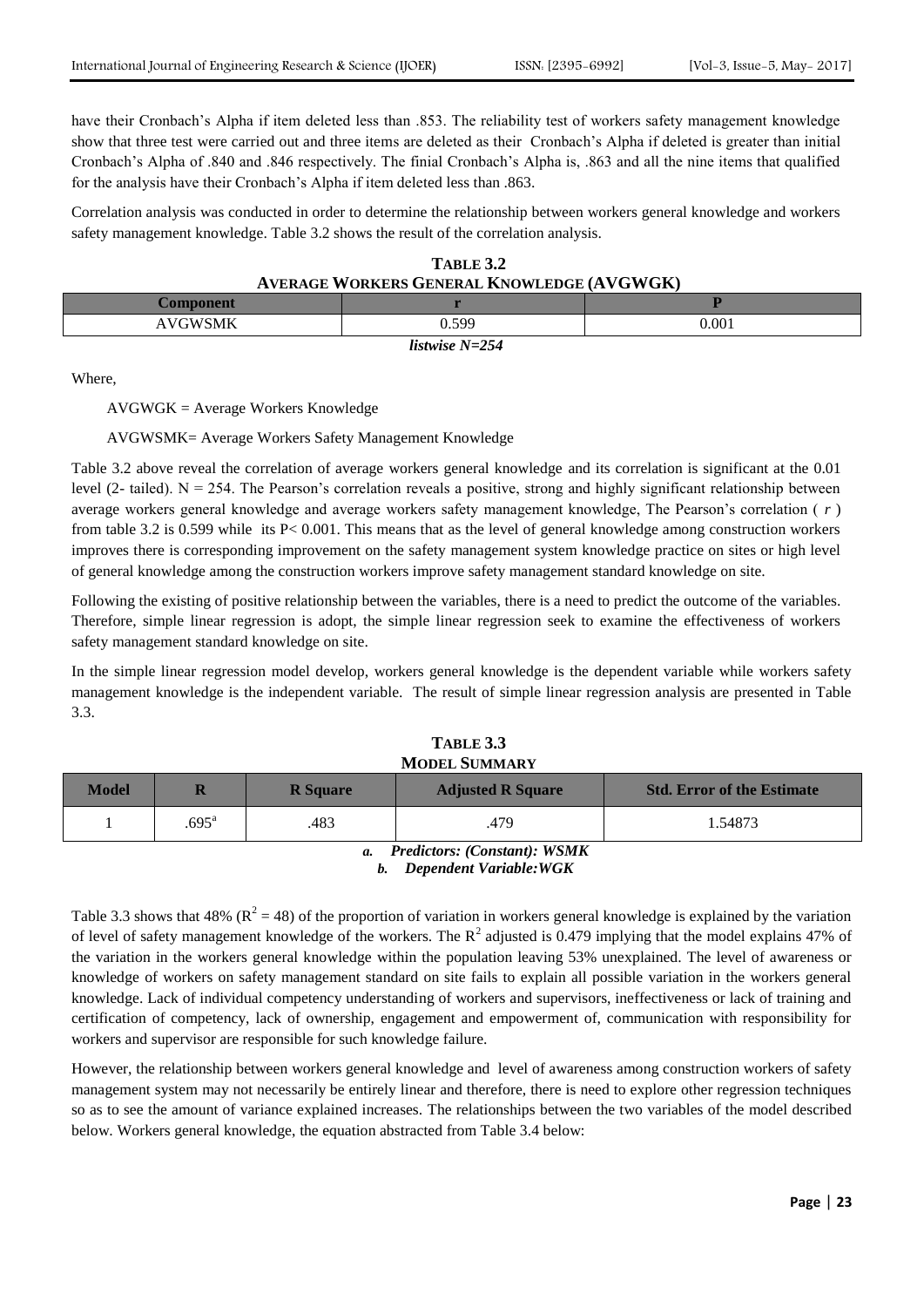have their Cronbach's Alpha if item deleted less than .853. The reliability test of workers safety management knowledge show that three test were carried out and three items are deleted as their Cronbach's Alpha if deleted is greater than initial Cronbach's Alpha of .840 and .846 respectively. The finial Cronbach's Alpha is, .863 and all the nine items that qualified for the analysis have their Cronbach's Alpha if item deleted less than .863.

Correlation analysis was conducted in order to determine the relationship between workers general knowledge and workers safety management knowledge. Table 3.2 shows the result of the correlation analysis.

| TABLE 3.2 |                                                   |  |  |  |  |
|-----------|---------------------------------------------------|--|--|--|--|
|           | <b>AVERAGE WORKERS GENERAL KNOWLEDGE (AVGWGK)</b> |  |  |  |  |
|           |                                                   |  |  |  |  |

| <b>Component</b>    |       |           |  |  |  |  |
|---------------------|-------|-----------|--|--|--|--|
| AVGWSMK<br>⋍<br>. . | 0.599 | $0.001\,$ |  |  |  |  |
| listwise $N=254$    |       |           |  |  |  |  |

Where,

AVGWGK = Average Workers Knowledge

# AVGWSMK= Average Workers Safety Management Knowledge

Table 3.2 above reveal the correlation of average workers general knowledge and its correlation is significant at the 0.01 level (2- tailed).  $N = 254$ . The Pearson's correlation reveals a positive, strong and highly significant relationship between average workers general knowledge and average workers safety management knowledge, The Pearson's correlation ( *r* ) from table 3.2 is 0.599 while its P< 0.001. This means that as the level of general knowledge among construction workers improves there is corresponding improvement on the safety management system knowledge practice on sites or high level of general knowledge among the construction workers improve safety management standard knowledge on site.

Following the existing of positive relationship between the variables, there is a need to predict the outcome of the variables. Therefore, simple linear regression is adopt, the simple linear regression seek to examine the effectiveness of workers safety management standard knowledge on site.

In the simple linear regression model develop, workers general knowledge is the dependent variable while workers safety management knowledge is the independent variable. The result of simple linear regression analysis are presented in Table 3.3.

| TABLE 3.3     |
|---------------|
| MODEL SUMMARY |

| Model                                     |                | <b>R</b> Square | <b>Adjusted R Square</b> | <b>Std. Error of the Estimate</b> |  |  |  |
|-------------------------------------------|----------------|-----------------|--------------------------|-----------------------------------|--|--|--|
|                                           | $.695^{\rm a}$ | .483            | .479                     | 1.54873                           |  |  |  |
| <b>Predictors: (Constant): WSMK</b><br>a. |                |                 |                          |                                   |  |  |  |

*b. Dependent Variable:WGK*

Table 3.3 shows that 48% ( $R^2 = 48$ ) of the proportion of variation in workers general knowledge is explained by the variation of level of safety management knowledge of the workers. The  $R^2$  adjusted is 0.479 implying that the model explains 47% of the variation in the workers general knowledge within the population leaving 53% unexplained. The level of awareness or knowledge of workers on safety management standard on site fails to explain all possible variation in the workers general knowledge. Lack of individual competency understanding of workers and supervisors, ineffectiveness or lack of training and certification of competency, lack of ownership, engagement and empowerment of, communication with responsibility for workers and supervisor are responsible for such knowledge failure.

However, the relationship between workers general knowledge and level of awareness among construction workers of safety management system may not necessarily be entirely linear and therefore, there is need to explore other regression techniques so as to see the amount of variance explained increases. The relationships between the two variables of the model described below. Workers general knowledge, the equation abstracted from Table 3.4 below: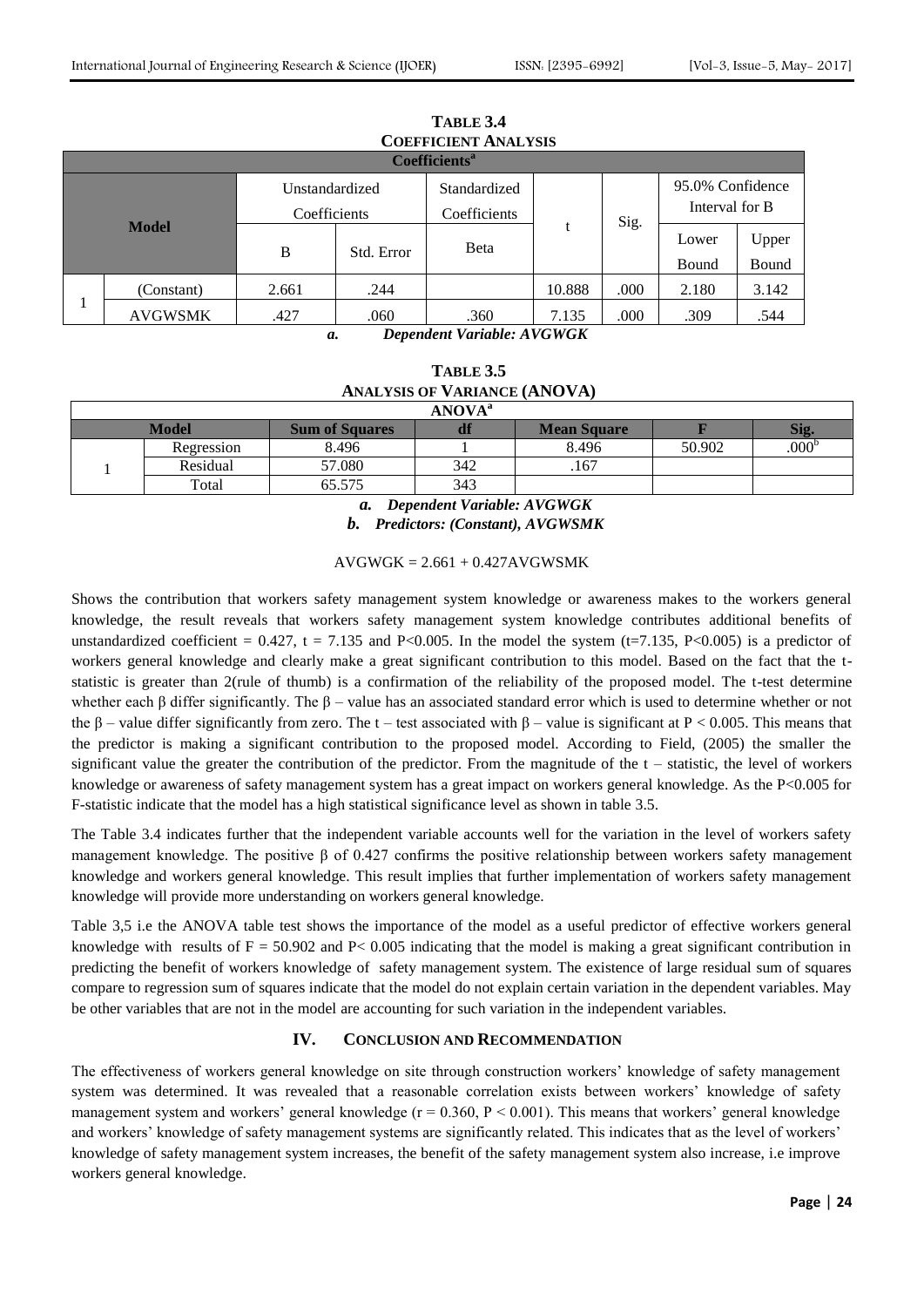Upper Bound

Bound

|              |                                |  | TABLE 3.4<br><b>COEFFICIENT ANALYSIS</b><br><b>Coefficients</b> <sup>a</sup> |      |  |                                    |                        |
|--------------|--------------------------------|--|------------------------------------------------------------------------------|------|--|------------------------------------|------------------------|
|              | Unstandardized<br>Coefficients |  | Standardized<br>Coefficients                                                 | Sig. |  | 95.0% Confidence<br>Interval for B |                        |
| <b>Model</b> | B<br>Std. Error                |  | <b>B</b> eta                                                                 |      |  | Lower<br>$\sim$<br>$\mathbf{I}$    | Upper<br>$\sim$ $\sim$ |

1

AVGWSMK 427 .060 .360 7.135 .000 .309 .544 *a. Dependent Variable: AVGWGK*

(Constant) 2.661 .244 10.888 .000 2.180 3.142

| <b>TABLE 3.5</b>                    |
|-------------------------------------|
| <b>ANALYSIS OF VARIANCE (ANOVA)</b> |
| 1.5705712                           |

| <b>ANOVA</b> <sup>a</sup> |            |                       |     |                    |        |                  |  |
|---------------------------|------------|-----------------------|-----|--------------------|--------|------------------|--|
|                           | Model      | <b>Sum of Squares</b> |     | <b>Mean Square</b> |        | Sig.             |  |
|                           | Regression | 8.496                 |     | 8.496              | 50.902 | 000 <sup>b</sup> |  |
|                           | Residual   | 57.080                | 342 | .167               |        |                  |  |
|                           | Total      | 65.575                | 343 |                    |        |                  |  |

*a. Dependent Variable: AVGWGK b. Predictors: (Constant), AVGWSMK*

 $AVGWGK = 2.661 + 0.427AVGWSMK$ 

Shows the contribution that workers safety management system knowledge or awareness makes to the workers general knowledge, the result reveals that workers safety management system knowledge contributes additional benefits of unstandardized coefficient =  $0.427$ , t = 7.135 and P<0.005. In the model the system (t=7.135, P<0.005) is a predictor of workers general knowledge and clearly make a great significant contribution to this model. Based on the fact that the tstatistic is greater than 2(rule of thumb) is a confirmation of the reliability of the proposed model. The t-test determine whether each β differ significantly. The  $β$  – value has an associated standard error which is used to determine whether or not the β – value differ significantly from zero. The t – test associated with β – value is significant at P < 0.005. This means that the predictor is making a significant contribution to the proposed model. According to Field, (2005) the smaller the significant value the greater the contribution of the predictor. From the magnitude of the  $t -$  statistic, the level of workers knowledge or awareness of safety management system has a great impact on workers general knowledge. As the P<0.005 for F-statistic indicate that the model has a high statistical significance level as shown in table 3.5.

The Table 3.4 indicates further that the independent variable accounts well for the variation in the level of workers safety management knowledge. The positive  $\beta$  of 0.427 confirms the positive relationship between workers safety management knowledge and workers general knowledge. This result implies that further implementation of workers safety management knowledge will provide more understanding on workers general knowledge.

Table 3,5 i.e the ANOVA table test shows the importance of the model as a useful predictor of effective workers general knowledge with results of  $F = 50.902$  and  $P < 0.005$  indicating that the model is making a great significant contribution in predicting the benefit of workers knowledge of safety management system. The existence of large residual sum of squares compare to regression sum of squares indicate that the model do not explain certain variation in the dependent variables. May be other variables that are not in the model are accounting for such variation in the independent variables.

# **IV. CONCLUSION AND RECOMMENDATION**

The effectiveness of workers general knowledge on site through construction workers' knowledge of safety management system was determined. It was revealed that a reasonable correlation exists between workers' knowledge of safety management system and workers' general knowledge ( $r = 0.360$ ,  $P < 0.001$ ). This means that workers' general knowledge and workers' knowledge of safety management systems are significantly related. This indicates that as the level of workers' knowledge of safety management system increases, the benefit of the safety management system also increase, i.e improve workers general knowledge.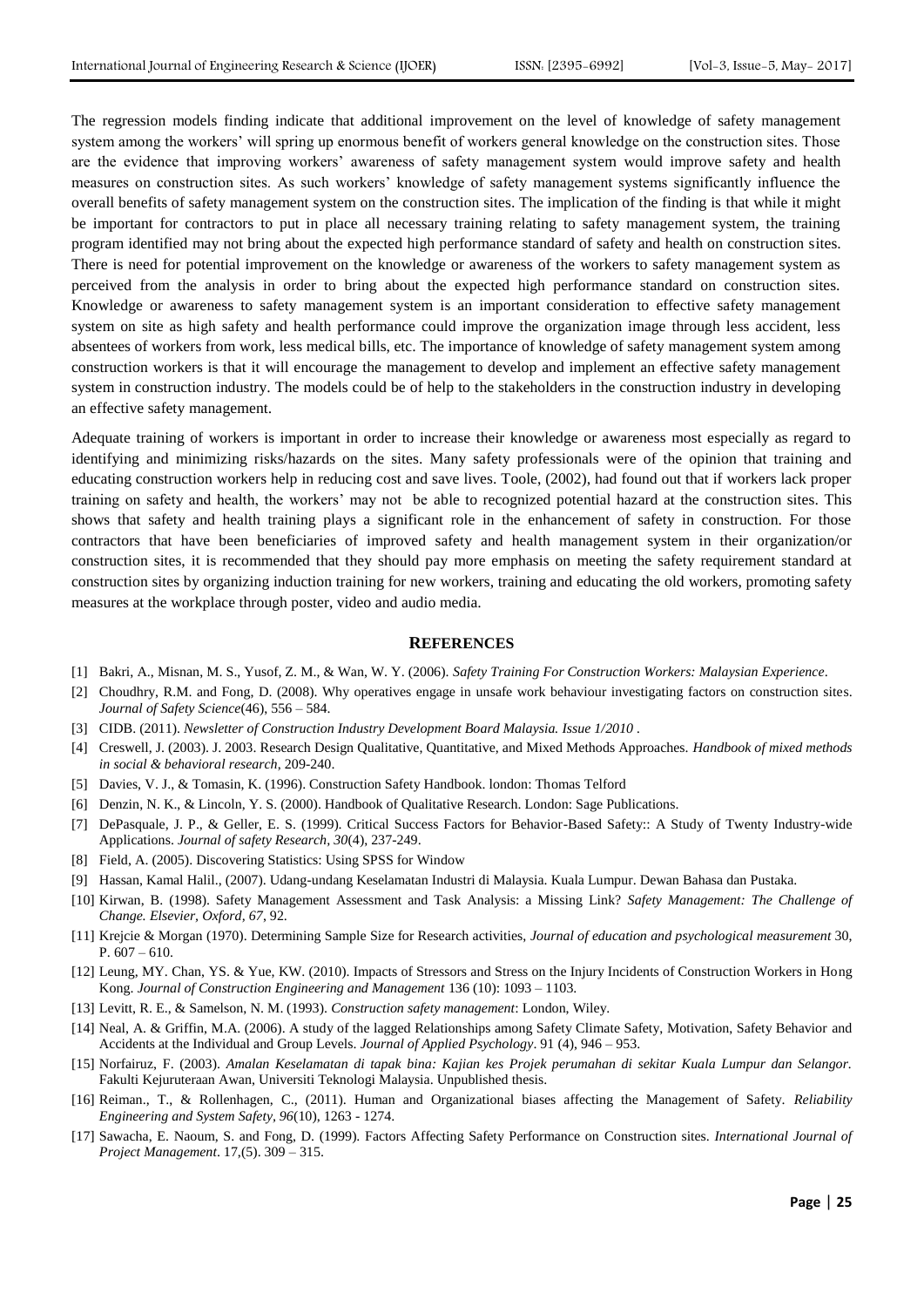The regression models finding indicate that additional improvement on the level of knowledge of safety management system among the workers' will spring up enormous benefit of workers general knowledge on the construction sites. Those are the evidence that improving workers' awareness of safety management system would improve safety and health measures on construction sites. As such workers' knowledge of safety management systems significantly influence the overall benefits of safety management system on the construction sites. The implication of the finding is that while it might be important for contractors to put in place all necessary training relating to safety management system, the training program identified may not bring about the expected high performance standard of safety and health on construction sites. There is need for potential improvement on the knowledge or awareness of the workers to safety management system as perceived from the analysis in order to bring about the expected high performance standard on construction sites. Knowledge or awareness to safety management system is an important consideration to effective safety management system on site as high safety and health performance could improve the organization image through less accident, less absentees of workers from work, less medical bills, etc. The importance of knowledge of safety management system among construction workers is that it will encourage the management to develop and implement an effective safety management system in construction industry. The models could be of help to the stakeholders in the construction industry in developing an effective safety management.

Adequate training of workers is important in order to increase their knowledge or awareness most especially as regard to identifying and minimizing risks/hazards on the sites. Many safety professionals were of the opinion that training and educating construction workers help in reducing cost and save lives. Toole, (2002), had found out that if workers lack proper training on safety and health, the workers' may not be able to recognized potential hazard at the construction sites. This shows that safety and health training plays a significant role in the enhancement of safety in construction. For those contractors that have been beneficiaries of improved safety and health management system in their organization/or construction sites, it is recommended that they should pay more emphasis on meeting the safety requirement standard at construction sites by organizing induction training for new workers, training and educating the old workers, promoting safety measures at the workplace through poster, video and audio media.

#### **REFERENCES**

- [1] Bakri, A., Misnan, M. S., Yusof, Z. M., & Wan, W. Y. (2006). *Safety Training For Construction Workers: Malaysian Experience*.
- [2] Choudhry, R.M. and Fong, D. (2008). Why operatives engage in unsafe work behaviour investigating factors on construction sites. *Journal of Safety Science*(46), 556 – 584.
- [3] CIDB. (2011). *Newsletter of Construction Industry Development Board Malaysia. Issue 1/2010 .*
- [4] Creswell, J. (2003). J. 2003. Research Design Qualitative, Quantitative, and Mixed Methods Approaches. *Handbook of mixed methods in social & behavioral research*, 209-240.
- [5] Davies, V. J., & Tomasin, K. (1996). Construction Safety Handbook. london: Thomas Telford
- [6] Denzin, N. K., & Lincoln, Y. S. (2000). Handbook of Qualitative Research. London: Sage Publications.
- <span id="page-5-1"></span>[7] DePasquale, J. P., & Geller, E. S. (1999). Critical Success Factors for Behavior-Based Safety:: A Study of Twenty Industry-wide Applications. *Journal of safety Research, 30*(4), 237-249.
- [8] Field, A. (2005). Discovering Statistics: Using SPSS for Window
- [9] Hassan, Kamal Halil., (2007). Udang-undang Keselamatan Industri di Malaysia. Kuala Lumpur. Dewan Bahasa dan Pustaka.
- <span id="page-5-0"></span>[10] Kirwan, B. (1998). Safety Management Assessment and Task Analysis: a Missing Link? *Safety Management: The Challenge of Change. Elsevier, Oxford, 67*, 92.
- [11] Krejcie & Morgan (1970). Determining Sample Size for Research activities, *Journal of education and psychological measurement* 30, P.  $607 - 610$ .
- [12] Leung, MY. Chan, YS. & Yue, KW. (2010). Impacts of Stressors and Stress on the Injury Incidents of Construction Workers in Hong Kong. *Journal of Construction Engineering and Management* 136 (10): 1093 – 1103.
- [13] Levitt, R. E., & Samelson, N. M. (1993). *Construction safety management*: London, Wiley.
- [14] Neal, A. & Griffin, M.A. (2006). A study of the lagged Relationships among Safety Climate Safety, Motivation, Safety Behavior and Accidents at the Individual and Group Levels. *Journal of Applied Psychology*. 91 (4), 946 – 953.
- [15] Norfairuz, F. (2003). *Amalan Keselamatan di tapak bina: Kajian kes Projek perumahan di sekitar Kuala Lumpur dan Selangor.* Fakulti Kejuruteraan Awan, Universiti Teknologi Malaysia. Unpublished thesis.
- [16] Reiman., T., & Rollenhagen, C., (2011). Human and Organizational biases affecting the Management of Safety. *Reliability Engineering and System Safety, 96*(10), 1263 - 1274.
- [17] Sawacha, E. Naoum, S. and Fong, D. (1999). Factors Affecting Safety Performance on Construction sites. *International Journal of Project Management*. 17,(5). 309 – 315.